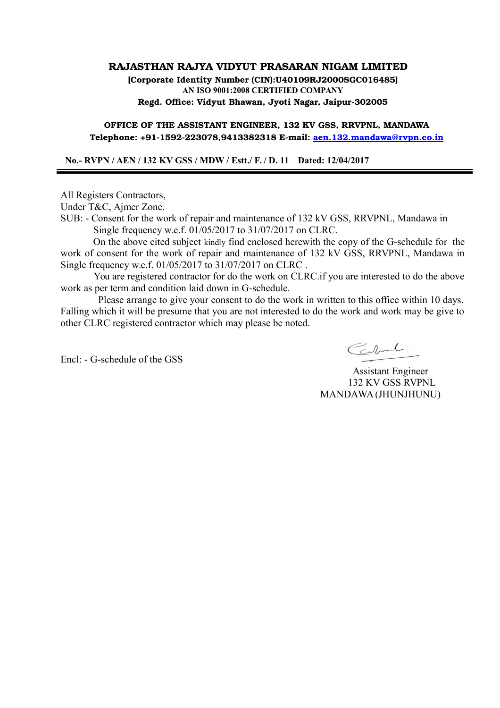## **RAJASTHAN RAJYA VIDYUT PRASARAN NIGAM LIMITED**

**[Corporate Identity Number (CIN):U40109RJ2000SGC016485] AN ISO 9001:2008 CERTIFIED COMPANY Regd. Office: Vidyut Bhawan, Jyoti Nagar, Jaipur-302005**

**OFFICE OF THE ASSISTANT ENGINEER, 132 KV GSS, RRVPNL, MANDAWA Telephone: +91-1592-223078,9413382318 E-mail: [aen.132.mandawa@rvpn.co.in](mailto:aen.132.mandawa@rvpn.co.in)**

 **No.- RVPN / AEN / 132 KV GSS / MDW / Estt./ F. / D. 11 Dated: 12/04/2017**

All Registers Contractors,

Under T&C, Ajmer Zone.

SUB: - Consent for the work of repair and maintenance of 132 kV GSS, RRVPNL, Mandawa in Single frequency w.e.f. 01/05/2017 to 31/07/2017 on CLRC.

 On the above cited subject kindly find enclosed herewith the copy of the G-schedule for the work of consent for the work of repair and maintenance of 132 kV GSS, RRVPNL, Mandawa in Single frequency w.e.f. 01/05/2017 to 31/07/2017 on CLRC .

 You are registered contractor for do the work on CLRC.if you are interested to do the above work as per term and condition laid down in G-schedule.

 Please arrange to give your consent to do the work in written to this office within 10 days. Falling which it will be presume that you are not interested to do the work and work may be give to other CLRC registered contractor which may please be noted.

Encl: - G-schedule of the GSS

Cabril

 Assistant Engineer 132 KV GSS RVPNL MANDAWA (JHUNJHUNU)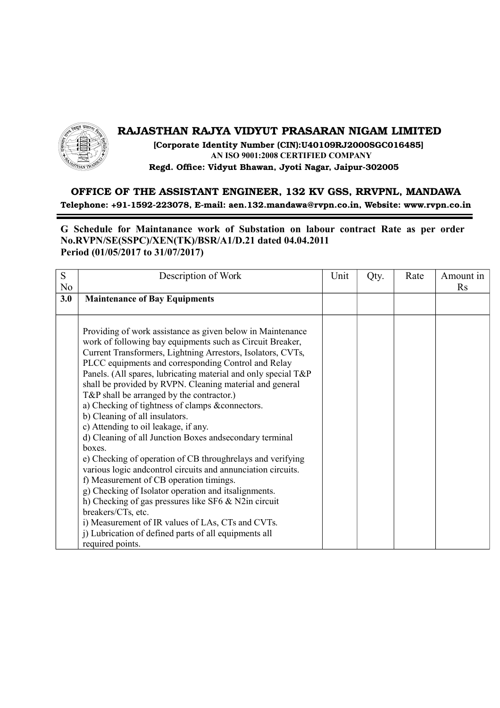

## **RAJASTHAN RAJYA VIDYUT PRASARAN NIGAM LIMITED**

 **[Corporate Identity Number (CIN):U40109RJ2000SGC016485] AN ISO 9001:2008 CERTIFIED COMPANY Regd. Office: Vidyut Bhawan, Jyoti Nagar, Jaipur-302005**

## **OFFICE OF THE ASSISTANT ENGINEER, 132 KV GSS, RRVPNL, MANDAWA Telephone: +91-1592-223078, E-mail: aen.132.mandawa@rvpn.co.in, Website: www.rvpn.co.in**

**G Schedule for Maintanance work of Substation on labour contract Rate as per order No.RVPN/SE(SSPC)/XEN(TK)/BSR/A1/D.21 dated 04.04.2011 Period (01/05/2017 to 31/07/2017)**

| S              | Description of Work                                                                                                                                                                                                                                                                                                                                                                                                                                                                                                                                                                                                                                                                                                                                                                                                                                                                                                                                                                                                                                                               | Unit | Qty. | Rate | Amount in |
|----------------|-----------------------------------------------------------------------------------------------------------------------------------------------------------------------------------------------------------------------------------------------------------------------------------------------------------------------------------------------------------------------------------------------------------------------------------------------------------------------------------------------------------------------------------------------------------------------------------------------------------------------------------------------------------------------------------------------------------------------------------------------------------------------------------------------------------------------------------------------------------------------------------------------------------------------------------------------------------------------------------------------------------------------------------------------------------------------------------|------|------|------|-----------|
| N <sub>0</sub> |                                                                                                                                                                                                                                                                                                                                                                                                                                                                                                                                                                                                                                                                                                                                                                                                                                                                                                                                                                                                                                                                                   |      |      |      | Rs        |
| 3.0            | <b>Maintenance of Bay Equipments</b>                                                                                                                                                                                                                                                                                                                                                                                                                                                                                                                                                                                                                                                                                                                                                                                                                                                                                                                                                                                                                                              |      |      |      |           |
|                |                                                                                                                                                                                                                                                                                                                                                                                                                                                                                                                                                                                                                                                                                                                                                                                                                                                                                                                                                                                                                                                                                   |      |      |      |           |
|                | Providing of work assistance as given below in Maintenance<br>work of following bay equipments such as Circuit Breaker,<br>Current Transformers, Lightning Arrestors, Isolators, CVTs,<br>PLCC equipments and corresponding Control and Relay<br>Panels. (All spares, lubricating material and only special T&P<br>shall be provided by RVPN. Cleaning material and general<br>$T\&P$ shall be arranged by the contractor.)<br>a) Checking of tightness of clamps &connectors.<br>b) Cleaning of all insulators.<br>c) Attending to oil leakage, if any.<br>d) Cleaning of all Junction Boxes and secondary terminal<br>hoxes.<br>e) Checking of operation of CB through relays and verifying<br>various logic and control circuits and annunciation circuits.<br>f) Measurement of CB operation timings.<br>g) Checking of Isolator operation and itsalignments.<br>h) Checking of gas pressures like SF6 & N2in circuit<br>breakers/CTs, etc.<br>i) Measurement of IR values of LAs, CTs and CVTs.<br>j) Lubrication of defined parts of all equipments all<br>required points. |      |      |      |           |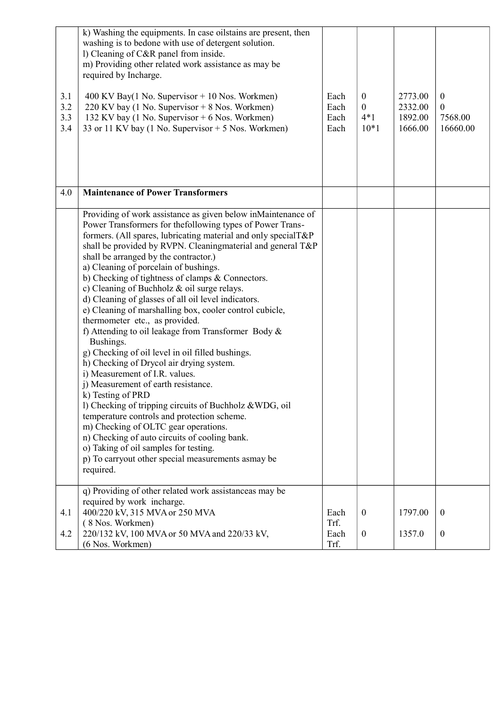| 3.1<br>3.2<br>3.3<br>3.4 | k) Washing the equipments. In case oilstains are present, then<br>washing is to bedone with use of detergent solution.<br>l) Cleaning of C&R panel from inside.<br>m) Providing other related work assistance as may be<br>required by Incharge.<br>$400$ KV Bay(1 No. Supervisor $+$ 10 Nos. Workmen)<br>220 KV bay (1 No. Supervisor + 8 Nos. Workmen)<br>132 KV bay (1 No. Supervisor + 6 Nos. Workmen)<br>33 or 11 KV bay (1 No. Supervisor $+$ 5 Nos. Workmen)                                                                                                                                                                                                                                                                                                                                                                                                                                                                                                                                                                                                                                                                                                                      | Each<br>Each<br>Each<br>Each | $\boldsymbol{0}$<br>$\boldsymbol{0}$<br>$4*1$<br>$10*1$ | 2773.00<br>2332.00<br>1892.00<br>1666.00 | $\boldsymbol{0}$<br>$\boldsymbol{0}$<br>7568.00<br>16660.00 |
|--------------------------|------------------------------------------------------------------------------------------------------------------------------------------------------------------------------------------------------------------------------------------------------------------------------------------------------------------------------------------------------------------------------------------------------------------------------------------------------------------------------------------------------------------------------------------------------------------------------------------------------------------------------------------------------------------------------------------------------------------------------------------------------------------------------------------------------------------------------------------------------------------------------------------------------------------------------------------------------------------------------------------------------------------------------------------------------------------------------------------------------------------------------------------------------------------------------------------|------------------------------|---------------------------------------------------------|------------------------------------------|-------------------------------------------------------------|
| 4.0                      | <b>Maintenance of Power Transformers</b>                                                                                                                                                                                                                                                                                                                                                                                                                                                                                                                                                                                                                                                                                                                                                                                                                                                                                                                                                                                                                                                                                                                                                 |                              |                                                         |                                          |                                                             |
|                          | Providing of work assistance as given below inMaintenance of<br>Power Transformers for the following types of Power Trans-<br>formers. (All spares, lubricating material and only specialT&P<br>shall be provided by RVPN. Cleaningmaterial and general T&P<br>shall be arranged by the contractor.)<br>a) Cleaning of porcelain of bushings.<br>b) Checking of tightness of clamps & Connectors.<br>c) Cleaning of Buchholz $\&$ oil surge relays.<br>d) Cleaning of glasses of all oil level indicators.<br>e) Cleaning of marshalling box, cooler control cubicle,<br>thermometer etc., as provided.<br>f) Attending to oil leakage from Transformer Body &<br>Bushings.<br>g) Checking of oil level in oil filled bushings.<br>h) Checking of Drycol air drying system.<br>i) Measurement of I.R. values.<br>j) Measurement of earth resistance.<br>k) Testing of PRD<br>l) Checking of tripping circuits of Buchholz & WDG, oil<br>temperature controls and protection scheme.<br>m) Checking of OLTC gear operations.<br>n) Checking of auto circuits of cooling bank.<br>o) Taking of oil samples for testing.<br>p) To carryout other special measurements asmay be<br>required. |                              |                                                         |                                          |                                                             |
| 4.1                      | q) Providing of other related work assistance as may be<br>required by work incharge.<br>400/220 kV, 315 MVA or 250 MVA                                                                                                                                                                                                                                                                                                                                                                                                                                                                                                                                                                                                                                                                                                                                                                                                                                                                                                                                                                                                                                                                  | Each                         | $\boldsymbol{0}$                                        | 1797.00                                  | $\boldsymbol{0}$                                            |
| 4.2                      | (8 Nos. Workmen)<br>220/132 kV, 100 MVA or 50 MVA and 220/33 kV,<br>(6 Nos. Workmen)                                                                                                                                                                                                                                                                                                                                                                                                                                                                                                                                                                                                                                                                                                                                                                                                                                                                                                                                                                                                                                                                                                     | Trf.<br>Each<br>Trf.         | $\mathbf{0}$                                            | 1357.0                                   | $\boldsymbol{0}$                                            |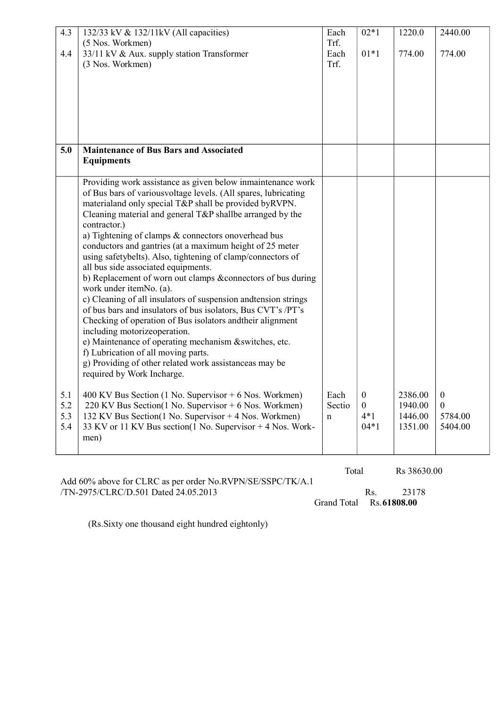| (5 Nos. Workmen)<br>Trf.<br>33/11 kV & Aux. supply station Transformer<br>$01*1$<br>Each<br>774.00<br>774.00<br>4.4<br>(3 Nos. Workmen)<br>Trf.<br><b>Maintenance of Bus Bars and Associated</b><br>5.0<br><b>Equipments</b><br>Providing work assistance as given below inmaintenance work<br>of Bus bars of variousvoltage levels. (All spares, lubricating<br>materialand only special T&P shall be provided by RVPN.<br>Cleaning material and general T&P shallbe arranged by the<br>contractor.)<br>a) Tightening of clamps & connectors onoverhead bus<br>conductors and gantries (at a maximum height of 25 meter<br>using safetybelts). Also, tightening of clamp/connectors of<br>all bus side associated equipments.<br>b) Replacement of worn out clamps &connectors of bus during |
|-----------------------------------------------------------------------------------------------------------------------------------------------------------------------------------------------------------------------------------------------------------------------------------------------------------------------------------------------------------------------------------------------------------------------------------------------------------------------------------------------------------------------------------------------------------------------------------------------------------------------------------------------------------------------------------------------------------------------------------------------------------------------------------------------|
|                                                                                                                                                                                                                                                                                                                                                                                                                                                                                                                                                                                                                                                                                                                                                                                               |
|                                                                                                                                                                                                                                                                                                                                                                                                                                                                                                                                                                                                                                                                                                                                                                                               |
|                                                                                                                                                                                                                                                                                                                                                                                                                                                                                                                                                                                                                                                                                                                                                                                               |
|                                                                                                                                                                                                                                                                                                                                                                                                                                                                                                                                                                                                                                                                                                                                                                                               |
|                                                                                                                                                                                                                                                                                                                                                                                                                                                                                                                                                                                                                                                                                                                                                                                               |
|                                                                                                                                                                                                                                                                                                                                                                                                                                                                                                                                                                                                                                                                                                                                                                                               |
|                                                                                                                                                                                                                                                                                                                                                                                                                                                                                                                                                                                                                                                                                                                                                                                               |
|                                                                                                                                                                                                                                                                                                                                                                                                                                                                                                                                                                                                                                                                                                                                                                                               |
|                                                                                                                                                                                                                                                                                                                                                                                                                                                                                                                                                                                                                                                                                                                                                                                               |
|                                                                                                                                                                                                                                                                                                                                                                                                                                                                                                                                                                                                                                                                                                                                                                                               |
|                                                                                                                                                                                                                                                                                                                                                                                                                                                                                                                                                                                                                                                                                                                                                                                               |
|                                                                                                                                                                                                                                                                                                                                                                                                                                                                                                                                                                                                                                                                                                                                                                                               |
|                                                                                                                                                                                                                                                                                                                                                                                                                                                                                                                                                                                                                                                                                                                                                                                               |
|                                                                                                                                                                                                                                                                                                                                                                                                                                                                                                                                                                                                                                                                                                                                                                                               |
|                                                                                                                                                                                                                                                                                                                                                                                                                                                                                                                                                                                                                                                                                                                                                                                               |
|                                                                                                                                                                                                                                                                                                                                                                                                                                                                                                                                                                                                                                                                                                                                                                                               |
|                                                                                                                                                                                                                                                                                                                                                                                                                                                                                                                                                                                                                                                                                                                                                                                               |
|                                                                                                                                                                                                                                                                                                                                                                                                                                                                                                                                                                                                                                                                                                                                                                                               |
| work under itemNo. (a).                                                                                                                                                                                                                                                                                                                                                                                                                                                                                                                                                                                                                                                                                                                                                                       |
| c) Cleaning of all insulators of suspension and tension strings                                                                                                                                                                                                                                                                                                                                                                                                                                                                                                                                                                                                                                                                                                                               |
| of bus bars and insulators of bus isolators, Bus CVT's /PT's                                                                                                                                                                                                                                                                                                                                                                                                                                                                                                                                                                                                                                                                                                                                  |
| Checking of operation of Bus isolators and their alignment                                                                                                                                                                                                                                                                                                                                                                                                                                                                                                                                                                                                                                                                                                                                    |
| including motorizeoperation.<br>e) Maintenance of operating mechanism &switches, etc.                                                                                                                                                                                                                                                                                                                                                                                                                                                                                                                                                                                                                                                                                                         |
| f) Lubrication of all moving parts.                                                                                                                                                                                                                                                                                                                                                                                                                                                                                                                                                                                                                                                                                                                                                           |
| g) Providing of other related work assistanceas may be                                                                                                                                                                                                                                                                                                                                                                                                                                                                                                                                                                                                                                                                                                                                        |
| required by Work Incharge.                                                                                                                                                                                                                                                                                                                                                                                                                                                                                                                                                                                                                                                                                                                                                                    |
| Each<br>2386.00<br>$\boldsymbol{0}$<br>$\boldsymbol{0}$                                                                                                                                                                                                                                                                                                                                                                                                                                                                                                                                                                                                                                                                                                                                       |
| 400 KV Bus Section (1 No. Supervisor $+6$ Nos. Workmen)<br>5.1<br>220 KV Bus Section(1 No. Supervisor + 6 Nos. Workmen)<br>$\boldsymbol{0}$<br>1940.00<br>5.2<br>Sectio<br>$\mathbf{0}$                                                                                                                                                                                                                                                                                                                                                                                                                                                                                                                                                                                                       |
| 5.3<br>132 KV Bus Section(1 No. Supervisor + 4 Nos. Workmen)<br>$4*1$<br>1446.00<br>5784.00<br>n                                                                                                                                                                                                                                                                                                                                                                                                                                                                                                                                                                                                                                                                                              |
| 5.4<br>33 KV or 11 KV Bus section(1 No. Supervisor + 4 Nos. Work-<br>$04*1$<br>1351.00<br>5404.00                                                                                                                                                                                                                                                                                                                                                                                                                                                                                                                                                                                                                                                                                             |
| men)                                                                                                                                                                                                                                                                                                                                                                                                                                                                                                                                                                                                                                                                                                                                                                                          |
|                                                                                                                                                                                                                                                                                                                                                                                                                                                                                                                                                                                                                                                                                                                                                                                               |
| Total<br>Rs 38630.00                                                                                                                                                                                                                                                                                                                                                                                                                                                                                                                                                                                                                                                                                                                                                                          |

Add 60% above for CLRC as per order No.RVPN/SE/SSPC/TK/A.1 /TN-2975/CLRC/D.501 Dated 24.05.2013 Rs. 23178

Grand Total Rs.**61808.00**

(Rs.Sixty one thousand eight hundred eightonly)